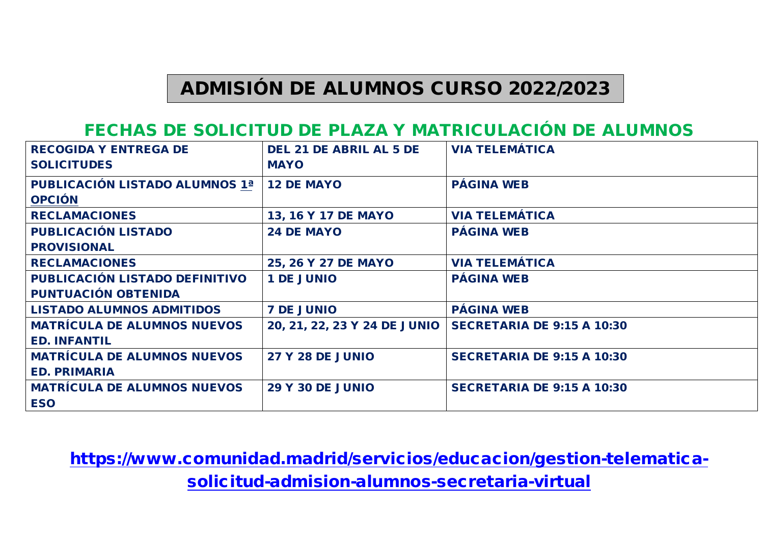## ADMISIÓN DE ALUMNOS CURSO 2022/2023

## FECHAS DE SOLICITUD DE PLAZA Y MATRICULACIÓN DE ALUMNOS

| <b>RECOGIDA Y ENTREGA DE</b><br><b>SOLICITUDES</b> | <b>DEL 21 DE ABRIL AL 5 DE</b><br><b>MAYO</b> | <b>VIA TELEMÁTICA</b>             |
|----------------------------------------------------|-----------------------------------------------|-----------------------------------|
| <b>PUBLICACIÓN LISTADO ALUMNOS 1ª</b>              | <b>12 DE MAYO</b>                             | <b>PÁGINA WEB</b>                 |
| <b>OPCIÓN</b>                                      |                                               |                                   |
| <b>RECLAMACIONES</b>                               | 13, 16 Y 17 DE MAYO                           | <b>VIA TELEMÁTICA</b>             |
| <b>PUBLICACIÓN LISTADO</b>                         | <b>24 DE MAYO</b>                             | <b>PÁGINA WEB</b>                 |
| <b>PROVISIONAL</b>                                 |                                               |                                   |
| <b>RECLAMACIONES</b>                               | 25, 26 Y 27 DE MAYO                           | <b>VIA TELEMÁTICA</b>             |
| PUBLICACIÓN LISTADO DEFINITIVO                     | <b>1 DE JUNIO</b>                             | <b>PÁGINA WEB</b>                 |
| <b>PUNTUACIÓN OBTENIDA</b>                         |                                               |                                   |
| <b>LISTADO ALUMNOS ADMITIDOS</b>                   | <b>7 DE JUNIO</b>                             | <b>PÁGINA WEB</b>                 |
| <b>MATRÍCULA DE ALUMNOS NUEVOS</b>                 | 20, 21, 22, 23 Y 24 DE JUNIO                  | <b>SECRETARIA DE 9:15 A 10:30</b> |
| <b>ED. INFANTIL</b>                                |                                               |                                   |
| <b>MATRÍCULA DE ALUMNOS NUEVOS</b>                 | <b>27 Y 28 DE JUNIO</b>                       | <b>SECRETARIA DE 9:15 A 10:30</b> |
| <b>ED. PRIMARIA</b>                                |                                               |                                   |
| <b>MATRÍCULA DE ALUMNOS NUEVOS</b>                 | <b>29 Y 30 DE JUNIO</b>                       | <b>SECRETARIA DE 9:15 A 10:30</b> |
| <b>ESO</b>                                         |                                               |                                   |

[https://www.comunidad.madrid/servicios/educacion/gestion-telematica](https://www.comunidad.madrid/servicios/educacion/gestion-telematica-solicitud-admision-alumnos-secretaria-virtual)[solicitud-admision-alumnos-secretaria-virtual](https://www.comunidad.madrid/servicios/educacion/gestion-telematica-solicitud-admision-alumnos-secretaria-virtual)